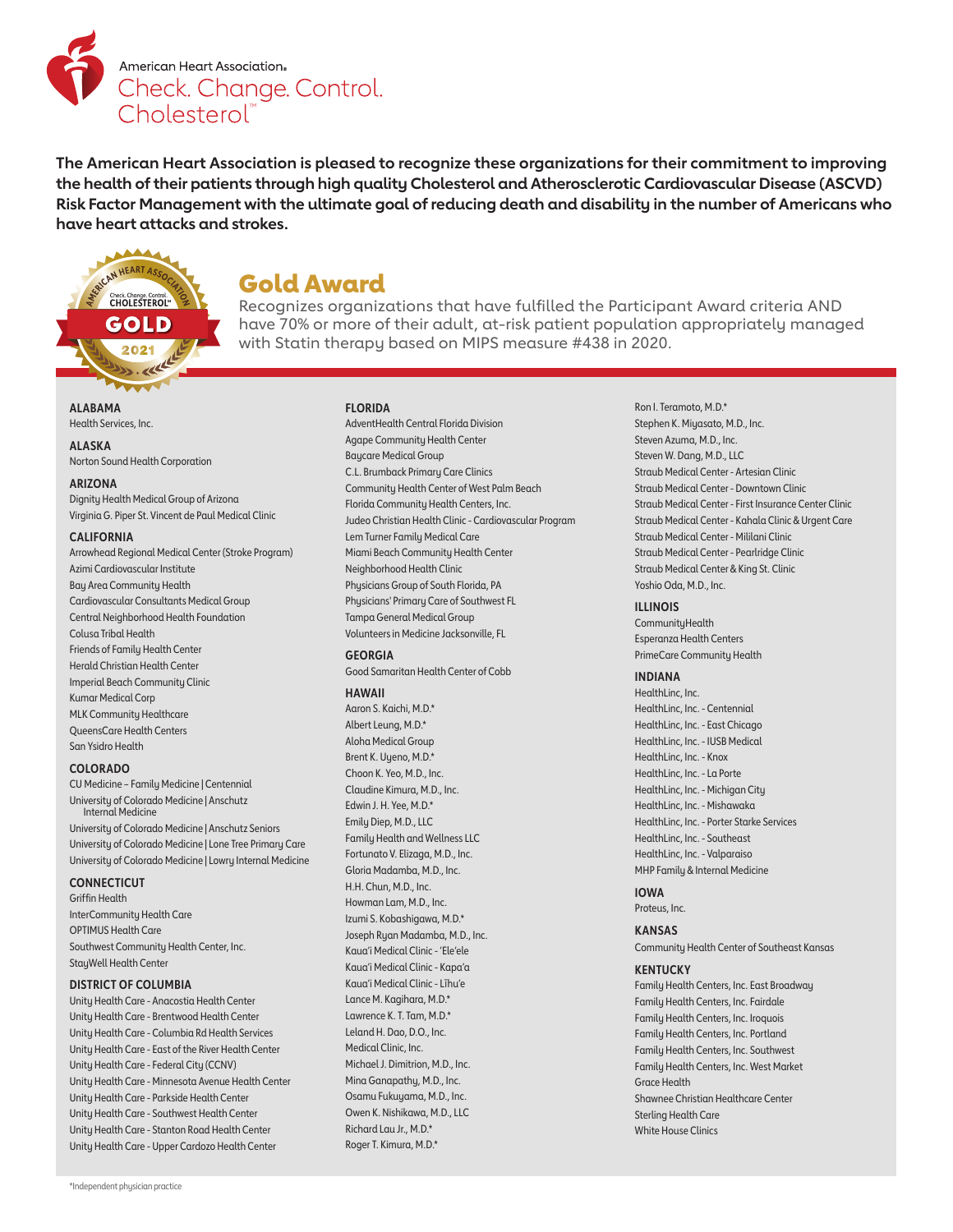

**The American Heart Association is pleased to recognize these organizations for their commitment to improving the health of their patients through high quality Cholesterol and Atherosclerotic Cardiovascular Disease (ASCVD) Risk Factor Management with the ultimate goal of reducing death and disability in the number of Americans who have heart attacks and strokes.** 

# AN HEART ASSO **CHOLESTEROL"** I

Gold Award

Recognizes organizations that have fulfilled the Participant Award criteria AND have 70% or more of their adult, at-risk patient population appropriately managed with Statin therapy based on MIPS measure #438 in 2020.

**ALABAMA** Health Services, Inc.

**ALASKA** Norton Sound Health Corporation

#### **ARIZONA**

Dignity Health Medical Group of Arizona Virginia G. Piper St. Vincent de Paul Medical Clinic

#### **CALIFORNIA**

Arrowhead Regional Medical Center (Stroke Program) Azimi Cardiovascular Institute Bay Area Community Health Cardiovascular Consultants Medical Group Central Neighborhood Health Foundation Colusa Tribal Health Friends of Family Health Center Herald Christian Health Center Imperial Beach Community Clinic Kumar Medical Corp MLK Community Healthcare QueensCare Health Centers San Ysidro Health

# **COLORADO**

CU Medicine – Family Medicine | Centennial University of Colorado Medicine | Anschutz Internal Medicine University of Colorado Medicine | Anschutz Seniors

University of Colorado Medicine | Lone Tree Primary Care University of Colorado Medicine | Lowry Internal Medicine

# **CONNECTICUT**

Griffin Health InterCommunity Health Care OPTIMUS Health Care Southwest Community Health Center, Inc. StayWell Health Center

# **DISTRICT OF COLUMBIA**

Unity Health Care - Anacostia Health Center Unity Health Care - Brentwood Health Center Unity Health Care - Columbia Rd Health Services Unity Health Care - East of the River Health Center Unity Health Care - Federal City (CCNV) Unity Health Care - Minnesota Avenue Health Center Unity Health Care - Parkside Health Center Unity Health Care - Southwest Health Center Unity Health Care - Stanton Road Health Center Unity Health Care - Upper Cardozo Health Center

# **FLORIDA**

AdventHealth Central Florida Division Agape Community Health Center Baycare Medical Group C.L. Brumback Primary Care Clinics Community Health Center of West Palm Beach Florida Community Health Centers, Inc. Judeo Christian Health Clinic - Cardiovascular Program Lem Turner Family Medical Care Miami Beach Community Health Center Neighborhood Health Clinic Physicians Group of South Florida, PA Physicians' Primary Care of Southwest FL Tampa General Medical Group Volunteers in Medicine Jacksonville, FL

#### **GEORGIA**

Good Samaritan Health Center of Cobb

# **HAWAII**

Aaron S. Kaichi, M.D.\* Albert Leung, M.D.\* Aloha Medical Group Brent K. Uyeno, M.D.\* Choon K. Yeo, M.D., Inc. Claudine Kimura, M.D., Inc. Edwin J. H. Yee, M.D.\* Emily Diep, M.D., LLC Family Health and Wellness LLC Fortunato V. Elizaga, M.D., Inc. Gloria Madamba, M.D., Inc. H.H. Chun, M.D., Inc. Howman Lam, M.D., Inc. Izumi S. Kobashigawa, M.D.\* Joseph Ryan Madamba, M.D., Inc. Kaua'i Medical Clinic - 'Ele'ele Kaua'i Medical Clinic - Kapa'a Kaua'i Medical Clinic - Līhu'e Lance M. Kagihara, M.D.\* Lawrence K. T. Tam, M.D.\* Leland H. Dao, D.O., Inc. Medical Clinic, Inc. Michael J. Dimitrion, M.D., Inc. Mina Ganapathy, M.D., Inc. Osamu Fukuyama, M.D., Inc. Owen K. Nishikawa, M.D., LLC Richard Lau Jr., M.D.\* Roger T. Kimura, M.D.\*

Ron I. Teramoto, M.D.\* Stephen K. Miyasato, M.D., Inc. Steven Azuma, M.D., Inc. Steven W. Dang, M.D., LLC Straub Medical Center - Artesian Clinic Straub Medical Center - Downtown Clinic Straub Medical Center - First Insurance Center Clinic Straub Medical Center - Kahala Clinic & Urgent Care Straub Medical Center - Mililani Clinic Straub Medical Center - Pearlridge Clinic Straub Medical Center & King St. Clinic Yoshio Oda, M.D., Inc.

#### **ILLINOIS**

CommunityHealth Esperanza Health Centers PrimeCare Community Health

#### **INDIANA**

HealthLinc, Inc. HealthLinc, Inc. - Centennial HealthLinc, Inc. - East Chicago HealthLinc, Inc. - IUSB Medical HealthLinc, Inc. - Knox HealthLinc, Inc. - La Porte HealthLinc, Inc. - Michigan City HealthLinc, Inc. - Mishawaka HealthLinc, Inc. - Porter Starke Services HealthLinc, Inc. - Southeast HealthLinc, Inc. - Valparaiso MHP Family & Internal Medicine

#### **IOWA**

Proteus, Inc.

# **KANSAS**

Community Health Center of Southeast Kansas

# **KENTUCKY**

Family Health Centers, Inc. East Broadway Family Health Centers, Inc. Fairdale Family Health Centers, Inc. Iroquois Family Health Centers, Inc. Portland Family Health Centers, Inc. Southwest Family Health Centers, Inc. West Market Grace Health Shawnee Christian Healthcare Center Sterling Health Care White House Clinics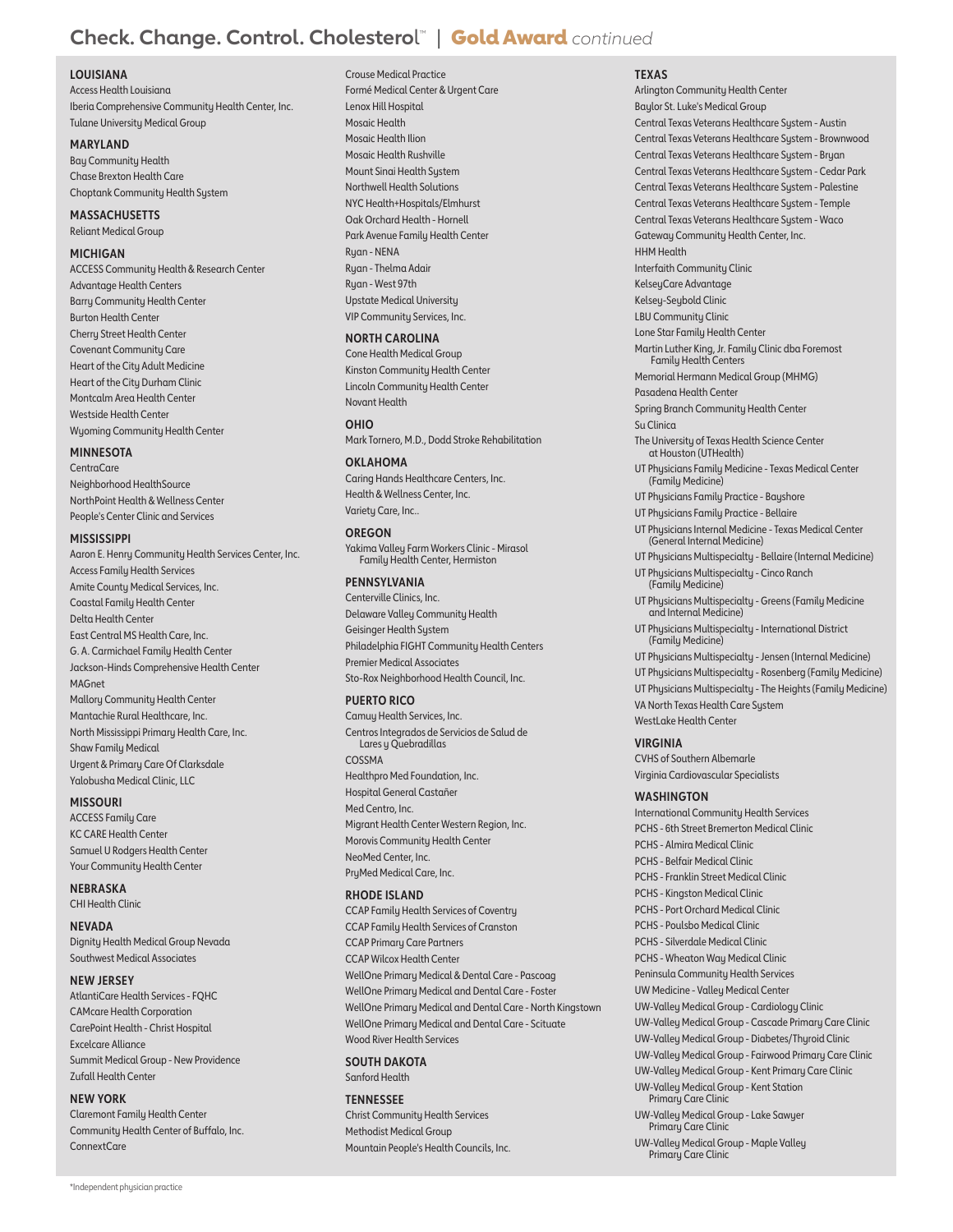# **Check. Change. Control. Cholestero**l ™ | Gold Award *continued*

# **LOUISIANA**

Access Health Louisiana Iberia Comprehensive Community Health Center, Inc. Tulane University Medical Group

# **MARYLAND**

Bay Community Health Chase Brexton Health Care Choptank Community Health System

# **MASSACHUSETTS**

Reliant Medical Group

# **MICHIGAN**

ACCESS Community Health & Research Center Advantage Health Centers Barry Community Health Center Burton Health Center Cherry Street Health Center Covenant Community Care Heart of the City Adult Medicine Heart of the City Durham Clinic Montcalm Area Health Center Westside Health Center Wyoming Community Health Center

## **MINNESOTA**

CentraCare Neighborhood HealthSource NorthPoint Health & Wellness Center People's Center Clinic and Services

#### **MISSISSIPPI**

Aaron E. Henry Community Health Services Center, Inc. Access Family Health Services Amite County Medical Services, Inc. Coastal Family Health Center Delta Health Center East Central MS Health Care, Inc. G. A. Carmichael Family Health Center Jackson-Hinds Comprehensive Health Center MAGnet Mallory Community Health Center Mantachie Rural Healthcare, Inc. North Mississippi Primary Health Care, Inc. Shaw Family Medical Urgent & Primary Care Of Clarksdale Yalobusha Medical Clinic, LLC

# **MISSOURI**

ACCESS Family Care KC CARE Health Center Samuel U Rodgers Health Center Your Community Health Center

**NEBRASKA**

CHI Health Clinic

**NEVADA** Dignity Health Medical Group Nevada Southwest Medical Associates

#### **NEW JERSEY**

AtlantiCare Health Services - FQHC CAMcare Health Corporation CarePoint Health - Christ Hospital Excelcare Alliance Summit Medical Group - New Providence Zufall Health Center

#### **NEW YORK**

Claremont Family Health Center Community Health Center of Buffalo, Inc. ConnextCare

# Crouse Medical Practice Formé Medical Center & Urgent Care Lenox Hill Hospital Mosaic Health Mosaic Health Ilion Mosaic Health Rushville Mount Sinai Health System Northwell Health Solutions NYC Health+Hospitals/Elmhurst Oak Orchard Health - Hornell Park Avenue Family Health Center Ryan - NENA Ryan - Thelma Adair Ryan - West 97th Upstate Medical University VIP Community Services, Inc.

#### **NORTH CAROLINA**

Cone Health Medical Group Kinston Community Health Center Lincoln Community Health Center Novant Health

#### **OHIO**

Mark Tornero, M.D., Dodd Stroke Rehabilitation

# **OKLAHOMA**

Caring Hands Healthcare Centers, Inc. Health & Wellness Center, Inc. Variety Care, Inc..

#### **OREGON**

Yakima Valley Farm Workers Clinic - Mirasol Family Health Center, Hermiston

# **PENNSYLVANIA**

Centerville Clinics, Inc. Delaware Valley Community Health Geisinger Health System Philadelphia FIGHT Community Health Centers Premier Medical Associates Sto-Rox Neighborhood Health Council, Inc.

# **PUERTO RICO**

Camuy Health Services, Inc. Centros Integrados de Servicios de Salud de Lares y Quebradillas COSSMA Healthpro Med Foundation, Inc. Hospital General Castañer Med Centro, Inc. Migrant Health Center Western Region, Inc. Morovis Community Health Center NeoMed Center, Inc. PryMed Medical Care, Inc.

# **RHODE ISLAND**

CCAP Family Health Services of Coventry CCAP Family Health Services of Cranston CCAP Primary Care Partners CCAP Wilcox Health Center WellOne Primary Medical & Dental Care - Pascoag WellOne Primary Medical and Dental Care - Foster WellOne Primary Medical and Dental Care - North Kingstown WellOne Primary Medical and Dental Care - Scituate Wood River Health Services

#### **SOUTH DAKOTA** Sanford Health

# **TENNESSEE**

Christ Community Health Services Methodist Medical Group Mountain People's Health Councils, Inc.

#### **TEXAS** Arlington Community Health Center

Baylor St. Luke's Medical Group Central Texas Veterans Healthcare System - Austin Central Texas Veterans Healthcare System - Brownwood Central Texas Veterans Healthcare System - Bryan Central Texas Veterans Healthcare System - Cedar Park Central Texas Veterans Healthcare System - Palestine Central Texas Veterans Healthcare System - Temple Central Texas Veterans Healthcare System - Waco Gateway Community Health Center, Inc. HHM Health Interfaith Community Clinic KelseyCare Advantage Kelsey-Seybold Clinic LBU Community Clinic Lone Star Family Health Center Martin Luther King, Jr. Family Clinic dba Foremost Family Health Centers Memorial Hermann Medical Group (MHMG) Pasadena Health Center Spring Branch Community Health Center Su Clinica The University of Texas Health Science Center at Houston (UTHealth) UT Physicians Family Medicine - Texas Medical Center (Family Medicine) UT Physicians Family Practice - Bayshore UT Physicians Family Practice - Bellaire UT Physicians Internal Medicine - Texas Medical Center (General Internal Medicine) UT Physicians Multispecialty - Bellaire (Internal Medicine) UT Physicians Multispecialty - Cinco Ranch (Family Medicine) UT Physicians Multispecialty - Greens (Family Medicine and Internal Medicine) UT Physicians Multispecialty - International District (Family Medicine) UT Physicians Multispecialty - Jensen (Internal Medicine) UT Physicians Multispecialty - Rosenberg (Family Medicine) UT Physicians Multispecialty - The Heights (Family Medicine) VA North Texas Health Care System WestLake Health Center **VIRGINIA** CVHS of Southern Albemarle Virginia Cardiovascular Specialists **WASHINGTON** International Community Health Services PCHS - 6th Street Bremerton Medical Clinic PCHS - Almira Medical Clinic PCHS - Belfair Medical Clinic PCHS - Franklin Street Medical Clinic PCHS - Kingston Medical Clinic PCHS - Port Orchard Medical Clinic PCHS - Poulsbo Medical Clinic PCHS - Silverdale Medical Clinic PCHS - Wheaton Way Medical Clinic Peninsula Community Health Services UW Medicine - Valley Medical Center UW-Valley Medical Group - Cardiology Clinic UW-Valley Medical Group - Cascade Primary Care Clinic UW-Valley Medical Group - Diabetes/Thyroid Clinic UW-Valley Medical Group - Fairwood Primary Care Clinic UW-Valley Medical Group - Kent Primary Care Clinic UW-Valley Medical Group - Kent Station Primaru Care Clinic

UW-Valley Medical Group - Lake Sawyer Primary Care Clinic

UW-Valley Medical Group - Maple Valley Primary Care Clinic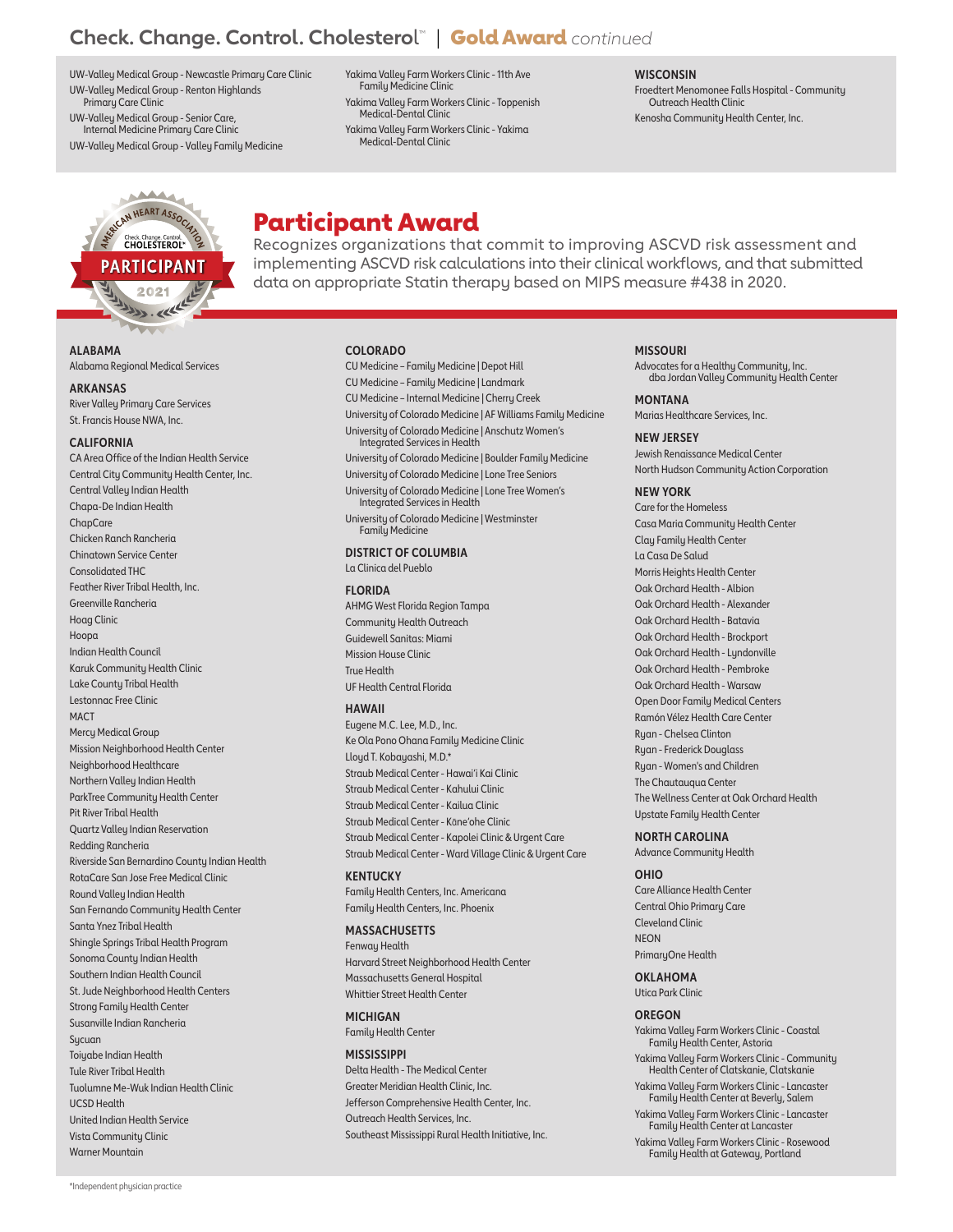# **Check. Change. Control. Cholestero**l ™ | Gold Award *continued*

UW-Valley Medical Group - Newcastle Primary Care Clinic UW-Valley Medical Group - Renton Highlands Primary Care Clinic

UW-Valley Medical Group - Senior Care, Internal Medicine Primary Care Clinic

UW-Valley Medical Group - Valley Family Medicine

Yakima Valley Farm Workers Clinic - 11th Ave Family Medicine Clinic Yakima Valley Farm Workers Clinic - Toppenish Medical-Dental Clinic

Yakima Valley Farm Workers Clinic - Yakima Medical-Dental Clinic

**WISCONSIN** Froedtert Menomonee Falls Hospital - Community Outreach Health Clinic

Kenosha Community Health Center, Inc.



Participant Award

Recognizes organizations that commit to improving ASCVD risk assessment and implementing ASCVD risk calculations into their clinical workflows, and that submitted data on appropriate Statin therapy based on MIPS measure #438 in 2020.

# **COLORADO**

CU Medicine – Family Medicine | Depot Hill CU Medicine – Family Medicine | Landmark CU Medicine – Internal Medicine | Cherry Creek University of Colorado Medicine | AF Williams Family Medicine University of Colorado Medicine | Anschutz Women's Integrated Services in Health University of Colorado Medicine | Boulder Family Medicine University of Colorado Medicine | Lone Tree Seniors University of Colorado Medicine | Lone Tree Women's Integrated Services in Health University of Colorado Medicine | Westminster Family Medicine **DISTRICT OF COLUMBIA** La Clinica del Pueblo **FLORIDA** AHMG West Florida Region Tampa Community Health Outreach Guidewell Sanitas: Miami Mission House Clinic True Health UF Health Central Florida **HAWAII** Eugene M.C. Lee, M.D., Inc. Ke Ola Pono Ohana Family Medicine Clinic Lloyd T. Kobayashi, M.D.\* Straub Medical Center - Hawai'i Kai Clinic

Straub Medical Center - Kahului Clinic Straub Medical Center - Kailua Clinic Straub Medical Center - Kāne'ohe Clinic Straub Medical Center - Kapolei Clinic & Urgent Care Straub Medical Center - Ward Village Clinic & Urgent Care

**KENTUCKY** Family Health Centers, Inc. Americana Family Health Centers, Inc. Phoenix

**MASSACHUSETTS** Fenway Health Harvard Street Neighborhood Health Center Massachusetts General Hospital Whittier Street Health Center

**MICHIGAN** Family Health Center

**MISSISSIPPI** Delta Health - The Medical Center Greater Meridian Health Clinic, Inc. Jefferson Comprehensive Health Center, Inc. Outreach Health Services, Inc. Southeast Mississippi Rural Health Initiative, Inc.

# **MISSOURI**

Advocates for a Healthy Community, Inc. dba Jordan Valley Community Health Center

**MONTANA** Marias Healthcare Services, Inc.

**NEW JERSEY** Jewish Renaissance Medical Center North Hudson Community Action Corporation

#### **NEW YORK**

Care for the Homeless Casa Maria Community Health Center Clay Family Health Center La Casa De Salud Morris Heights Health Center Oak Orchard Health - Albion Oak Orchard Health - Alexander Oak Orchard Health - Batavia Oak Orchard Health - Brockport Oak Orchard Health - Lundonville Oak Orchard Health - Pembroke Oak Orchard Health - Warsaw Open Door Family Medical Centers Ramón Vélez Health Care Center Ryan - Chelsea Clinton Ryan - Frederick Douglass Ryan - Women's and Children The Chautauqua Center The Wellness Center at Oak Orchard Health Upstate Family Health Center

**NORTH CAROLINA**

Advance Community Health

#### **OHIO**

Care Alliance Health Center Central Ohio Primary Care Cleveland Clinic **NEON** PrimaryOne Health

**OKLAHOMA** Utica Park Clinic

#### **OREGON**

Yakima Valley Farm Workers Clinic - Coastal Family Health Center, Astoria

Yakima Valley Farm Workers Clinic - Community Health Center of Clatskanie, Clatskanie

Yakima Valley Farm Workers Clinic - Lancaster Family Health Center at Beverly, Salem

Yakima Valley Farm Workers Clinic - Lancaster Family Health Center at Lancaster

Yakima Valley Farm Workers Clinic - Rosewood Family Health at Gateway, Portland

**ALABAMA** Alabama Regional Medical Services

**ARKANSAS**

River Valley Primary Care Services St. Francis House NWA, Inc.

#### **CALIFORNIA**

CA Area Office of the Indian Health Service Central City Community Health Center, Inc. Central Valley Indian Health Chapa-De Indian Health **ChapCare** Chicken Ranch Rancheria Chinatown Service Center Consolidated THC Feather River Tribal Health, Inc. Greenville Rancheria Hoag Clinic Hoopa Indian Health Council Karuk Community Health Clinic Lake County Tribal Health Lestonnac Free Clinic **MACT** Mercu Medical Group Mission Neighborhood Health Center Neighborhood Healthcare Northern Valley Indian Health ParkTree Community Health Center Pit River Tribal Health Quartz Valley Indian Reservation Redding Rancheria Riverside San Bernardino County Indian Health RotaCare San Jose Free Medical Clinic Round Valley Indian Health San Fernando Community Health Center Santa Ynez Tribal Health Shingle Springs Tribal Health Program Sonoma County Indian Health Southern Indian Health Council St. Jude Neighborhood Health Centers Strong Family Health Center Susanville Indian Rancheria Sucuan Toiuabe Indian Health Tule River Tribal Health Tuolumne Me-Wuk Indian Health Clinic UCSD Health United Indian Health Service Vista Community Clinic Warner Mountain